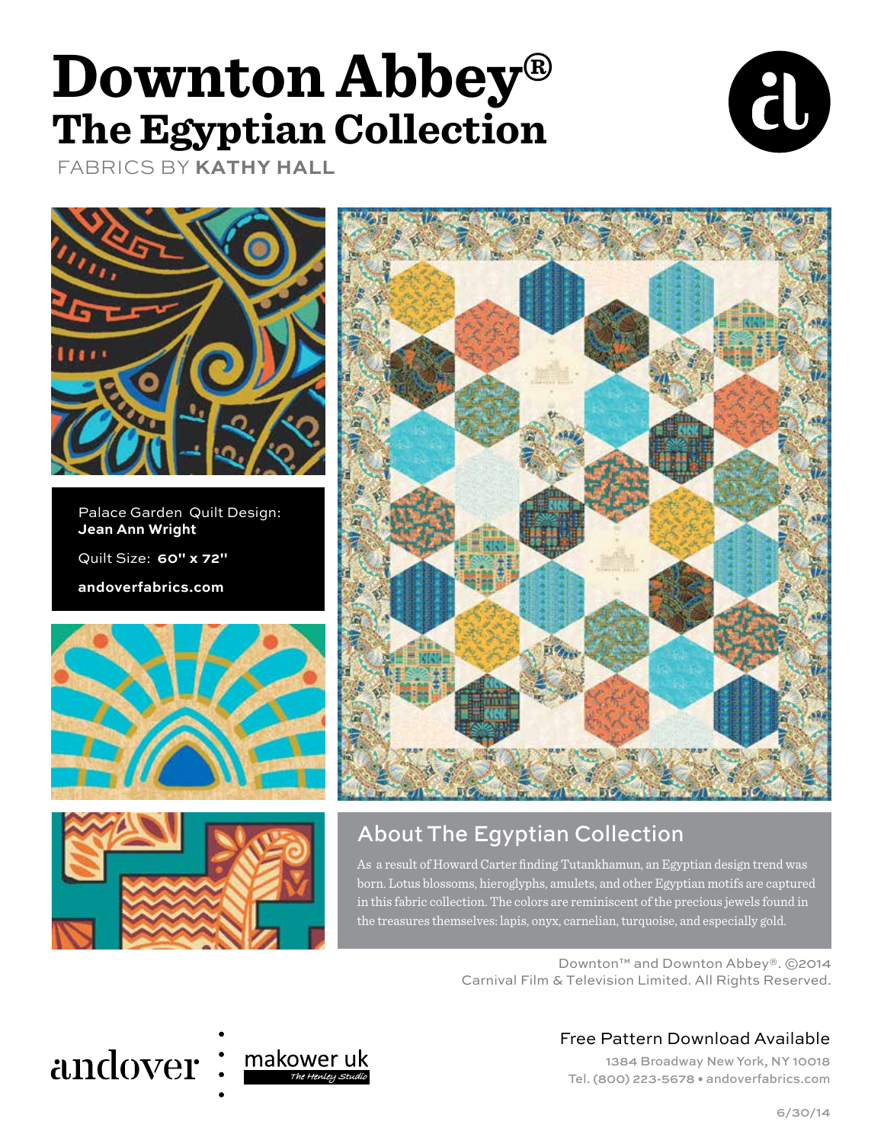## **Downton Abbey® The Egyptian Collection**





FABRICS BY **KATHY HALL**

Palace Garden Quilt Design: **Jean Ann Wright** Quilt Size: **60" x 72" andoverfabrics.com**







### About The Egyptian Collection

As a result of Howard Carter finding Tutankhamun, an Egyptian design trend was born. Lotus blossoms, hieroglyphs, amulets, and other Egyptian motifs are captured in this fabric collection. The colors are reminiscent of the precious jewels found in the treasures themselves: lapis, onyx, carnelian, turquoise, and especially gold.

> Downton™ and Downton Abbey®. ©2014 Carnival Film & Television Limited. All Rights Reserved.

## andover



#### Free Pattern Download Available

1384 Broadway New York, NY 10018 Tel. (800) 223-5678 • andoverfabrics.com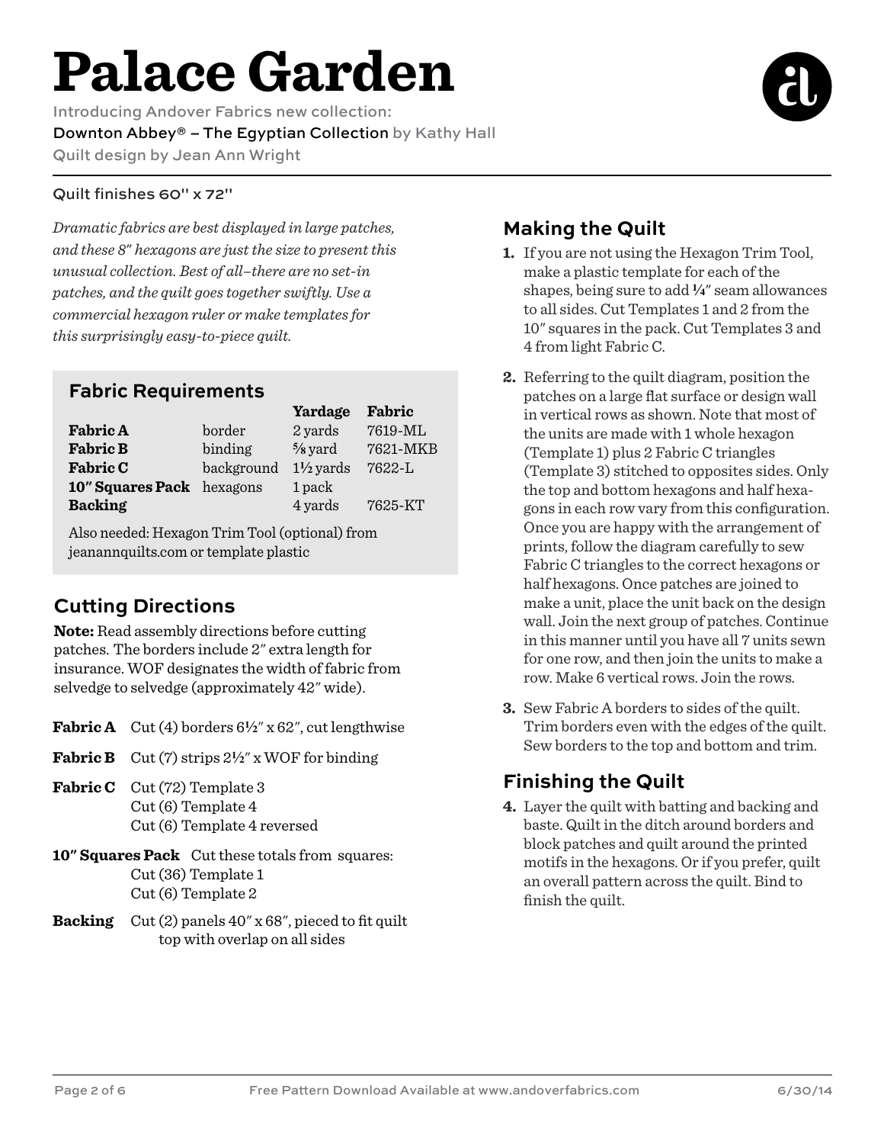# **Palace Garden**

Introducing Andover Fabrics new collection: Downton Abbey® – The Egyptian Collection by Kathy Hall Quilt design by Jean Ann Wright

#### Quilt finishes 60" x 72"

*Dramatic fabrics are best displayed in large patches, and these 8*" *hexagons are just the size to present this unusual collection. Best of all–there are no set-in patches, and the quilt goes together swiftly. Use a commercial hexagon ruler or make templates for this surprisingly easy-to-piece quilt.*

#### **Fabric Requirements**

|                           |            | Yardage              | Fabric     |
|---------------------------|------------|----------------------|------------|
| <b>Fabric A</b>           | border     | 2 yards              | 7619-ML    |
| <b>Fabric B</b>           | binding    | $\frac{5}{8}$ yard   | 7621-MKB   |
| <b>Fabric C</b>           | background | $1\frac{1}{2}$ yards | $7622 - L$ |
| 10" Squares Pack hexagons |            | 1 pack               |            |
| <b>Backing</b>            |            | 4 yards              | 7625-KT    |

Also needed: Hexagon Trim Tool (optional) from jeanannquilts.com or template plastic

### **Cutting Directions**

**Note:** Read assembly directions before cutting patches. The borders include 2" extra length for insurance. WOF designates the width of fabric from selvedge to selvedge (approximately 42" wide).

- **Fabric A** Cut (4) borders  $6\frac{1}{2}$ " x  $62$ ", cut lengthwise
- **Fabric B** Cut (7) strips 2**2**" x WOF for binding
- Fabric C Cut (72) Template 3 Cut (6) Template 4 Cut (6) Template 4 reversed
- **10" Squares Pack** Cut these totals from squares: Cut (36) Template 1 Cut (6) Template 2
- **Backing** Cut (2) panels 40" x 68", pieced to fit quilt top with overlap on all sides

#### **Making the Quilt**

- **1.** If you are not using the Hexagon Trim Tool, make a plastic template for each of the shapes, being sure to add **4**" seam allowances to all sides. Cut Templates 1 and 2 from the 10" squares in the pack. Cut Templates 3 and 4 from light Fabric C.
- **2.** Referring to the quilt diagram, position the patches on a large flat surface or design wall in vertical rows as shown. Note that most of the units are made with 1 whole hexagon (Template 1) plus 2 Fabric C triangles (Template 3) stitched to opposites sides. Only the top and bottom hexagons and half hexagons in each row vary from this configuration. Once you are happy with the arrangement of prints, follow the diagram carefully to sew Fabric C triangles to the correct hexagons or half hexagons. Once patches are joined to make a unit, place the unit back on the design wall. Join the next group of patches. Continue in this manner until you have all 7 units sewn for one row, and then join the units to make a row. Make 6 vertical rows. Join the rows.
- **3.** Sew Fabric A borders to sides of the quilt. Trim borders even with the edges of the quilt. Sew borders to the top and bottom and trim.

### **Finishing the Quilt**

**4.** Layer the quilt with batting and backing and baste. Quilt in the ditch around borders and block patches and quilt around the printed motifs in the hexagons. Or if you prefer, quilt an overall pattern across the quilt. Bind to finish the quilt.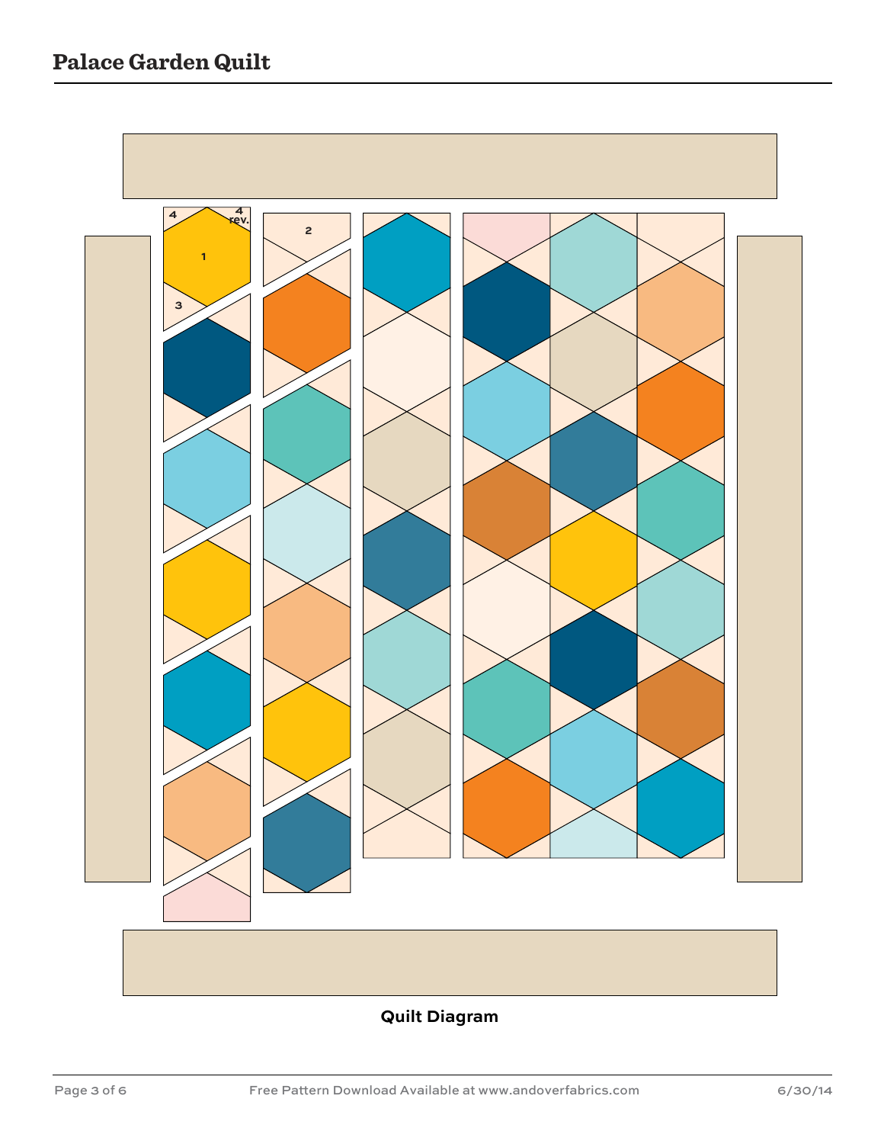

#### **Quilt Diagram**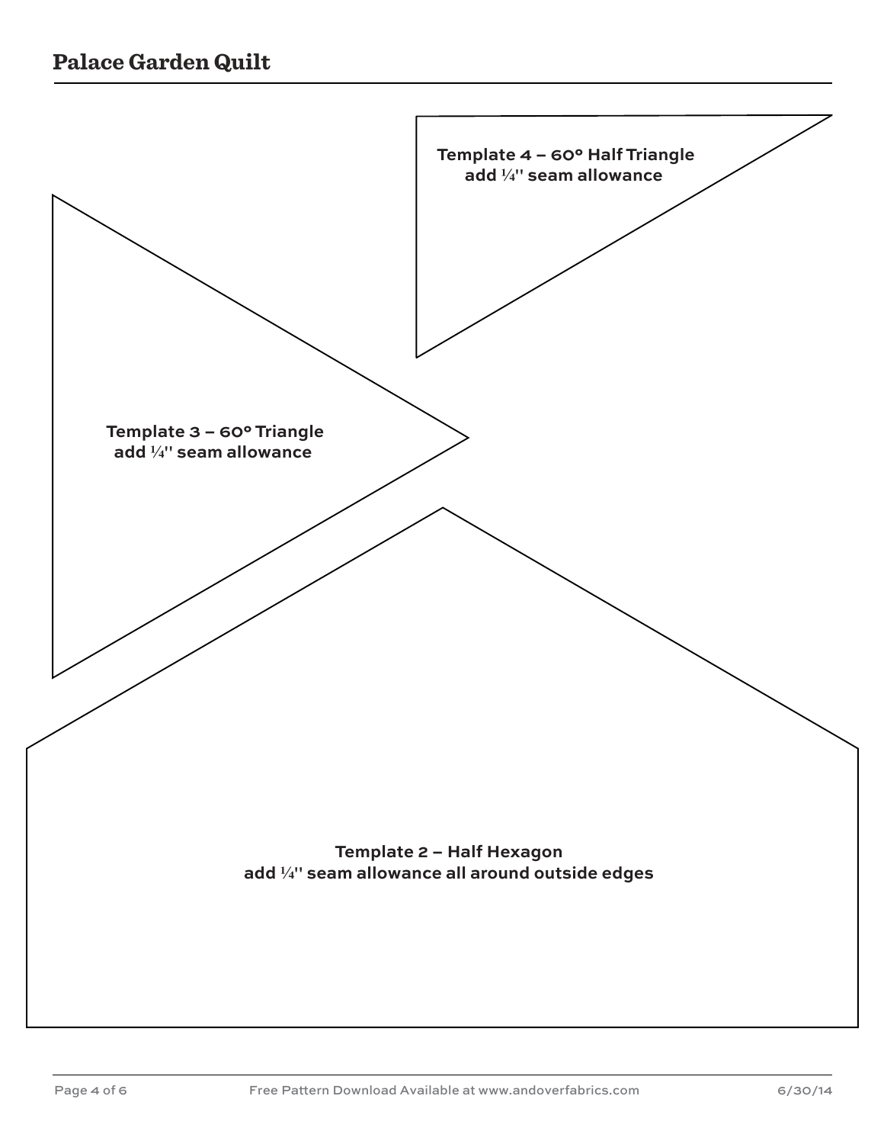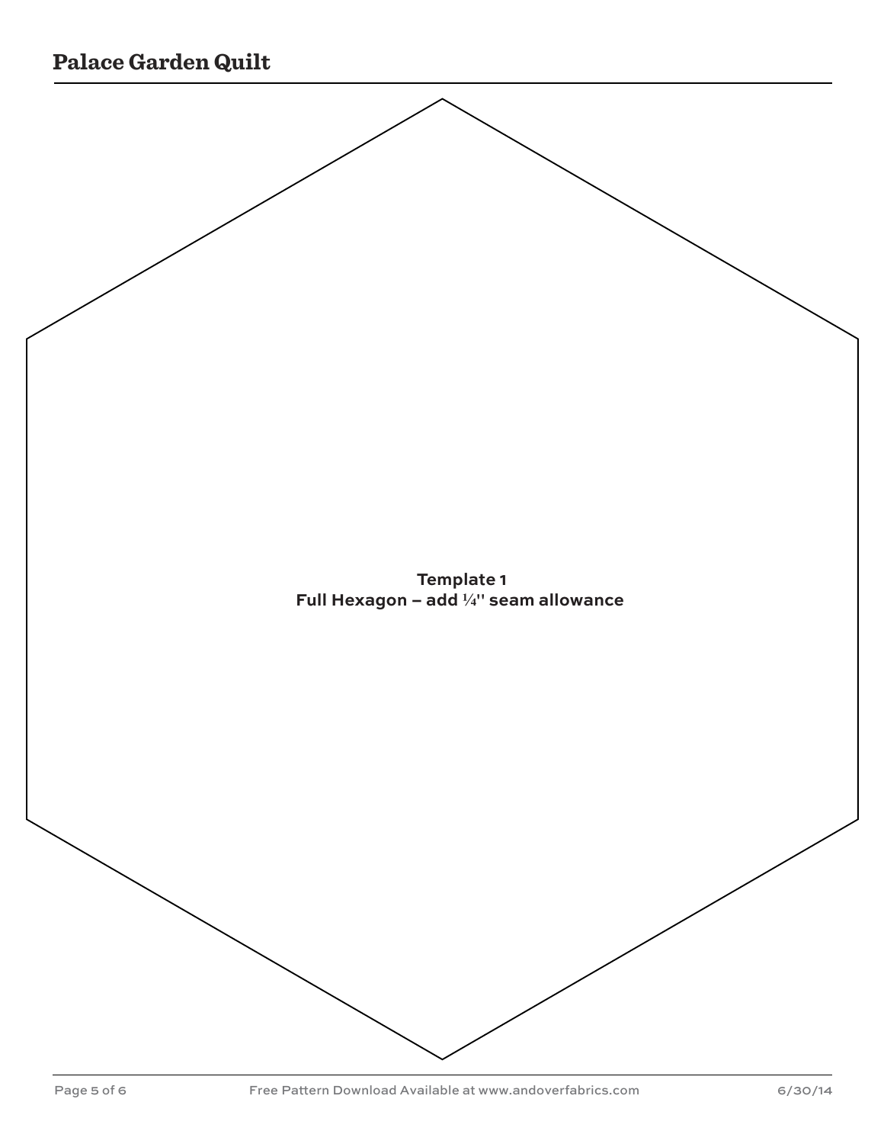